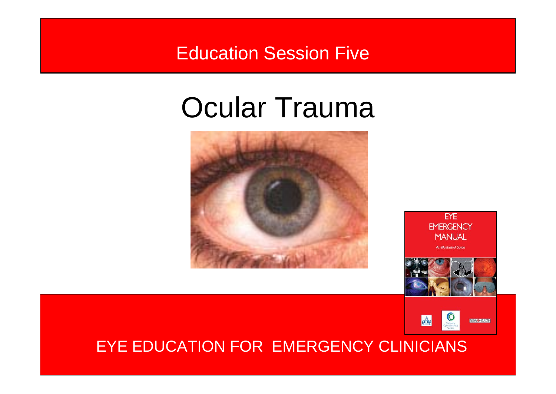### Education Session Five

### Ocular Trauma





EYE



#### EYE EDUCATION FOR EMERGENCY CLINICIANS <sup>1</sup> EYE EDUCATION FOR EMERGENCY CLINICIANS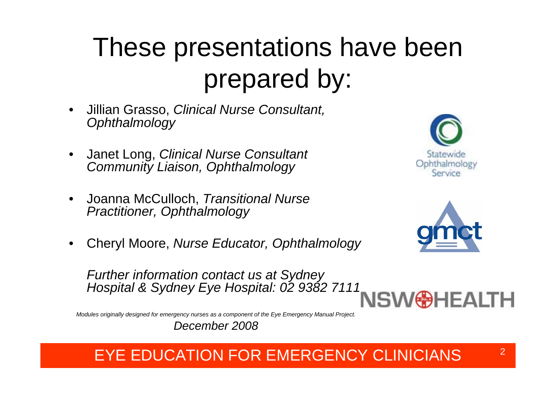### These presentations have been prepared by:

- • Jillian Grasso, *Clinical Nurse Consultant, Ophthalmology*
- • Janet Long, *Clinical Nurse Consultant Community Liaison, Ophthalmology*
- • Joanna McCulloch, *Transitional Nurse Practitioner, Ophthalmology*
- •Cheryl Moore, *Nurse Educator, Ophthalmology*





*Further information contact us at Sydney Hospital & Sydney Eye Hospital: 02 9382 7111* 



*Modules originally designed for emergency nurses as a component of the Eye Emergency Manual Project.*

*December 2008*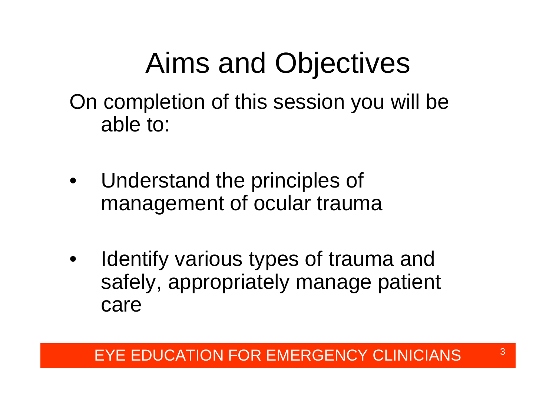### Aims and Objectives

On completion of this session you will be able to:

- • Understand the principles of management of ocular trauma
- • Identify various types of trauma and safely, appropriately manage patient care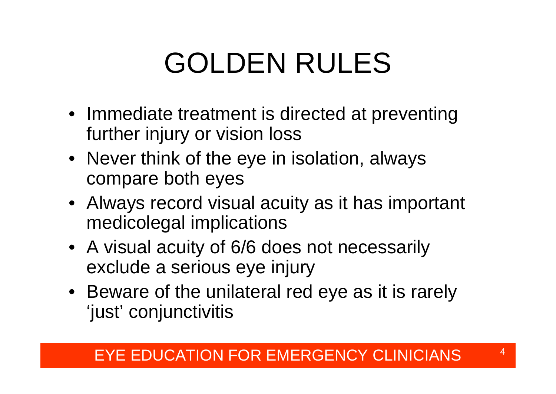# GOLDEN RULES

- Immediate treatment is directed at preventing further injury or vision loss
- Never think of the eye in isolation, always compare both eyes
- Always record visual acuity as it has important medicolegal implications
- A visual acuity of 6/6 does not necessarily exclude a serious eye injury
- Beware of the unilateral red eye as it is rarely 'just' conjunctivitis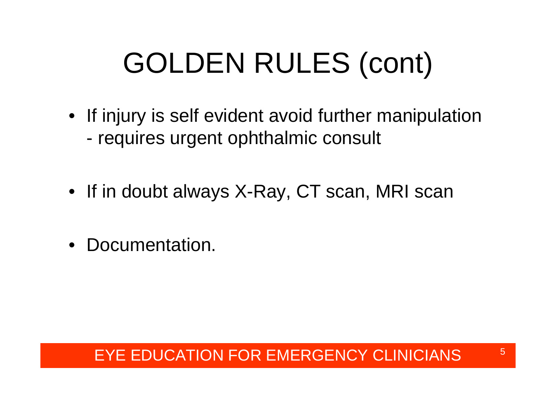# GOLDEN RULES (cont)

- If injury is self evident avoid further manipulation requires urgent ophthalmic consult
- If in doubt always X-Ray, CT scan, MRI scan
- Documentation.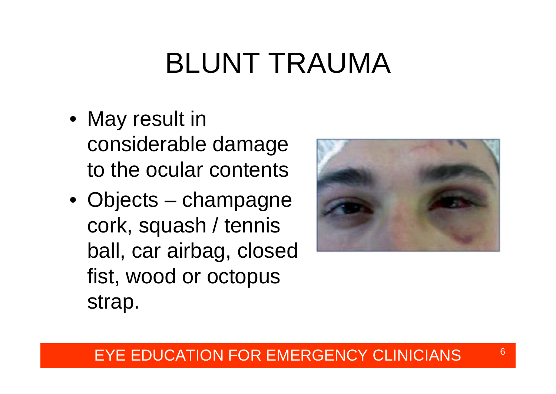## BLUNT TRAUMA

- May result in considerable damage to the ocular contents
- Objects champagne cork, squash / tennis ball, car airbag, closed fist, wood or octopus strap.

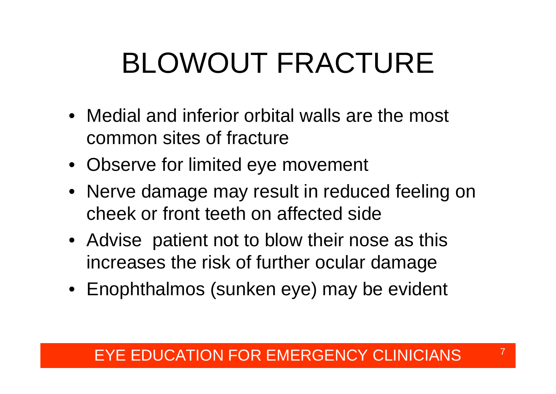# BLOWOUT FRACTURE

- Medial and inferior orbital walls are the most common sites of fracture
- Observe for limited eye movement
- Nerve damage may result in reduced feeling on cheek or front teeth on affected side
- Advise patient not to blow their nose as this increases the risk of further ocular damage
- Enophthalmos (sunken eye) may be evident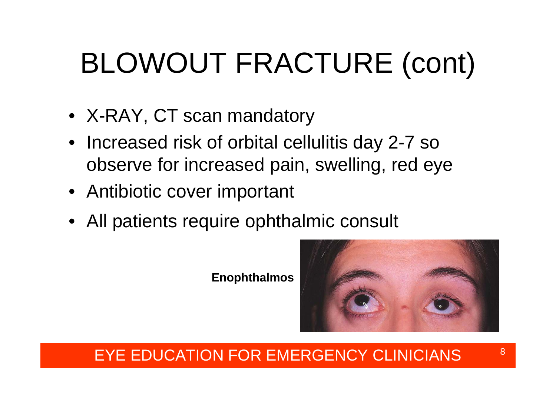# BLOWOUT FRACTURE (cont)

- X-RAY, CT scan mandatory
- Increased risk of orbital cellulitis day 2-7 so observe for increased pain, swelling, red eye
- Antibiotic cover important
- All patients require ophthalmic consult

#### **Enophthalmos**

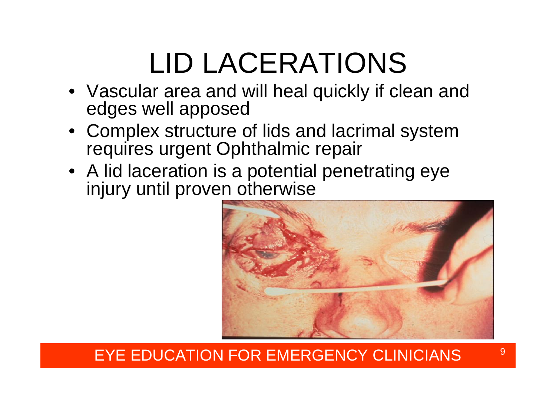## LID LACERATIONS

- Vascular area and will heal quickly if clean and edges well apposed
- Complex structure of lids and lacrimal system requires urgent Ophthalmic repair
- A lid laceration is a potential penetrating eye injury until proven otherwise

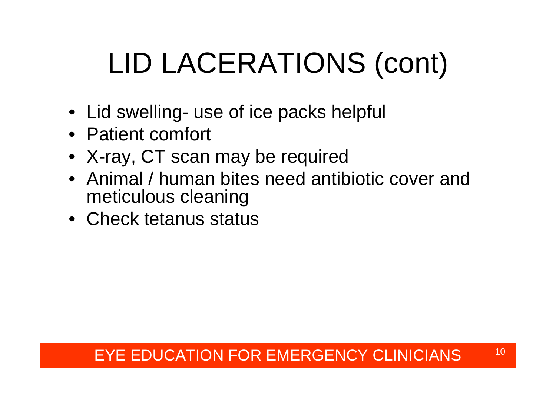# LID LACERATIONS (cont)

- Lid swelling- use of ice packs helpful
- Patient comfort
- X-ray, CT scan may be required
- Animal / human bites need antibiotic cover and meticulous cleaning
- Check tetanus status

### EYE EDUCATION FOR EMERGENCY CLINICIANS  $^{\rm 10}$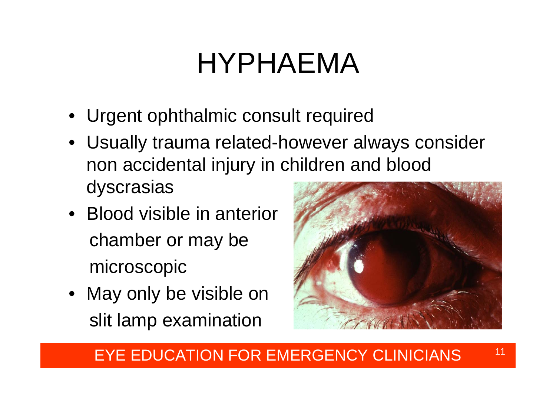### HYPHAEMA

- Urgent ophthalmic consult required
- Usually trauma related-however always consider non accidental injury in children and blood dyscrasias
- Blood visible in anterior chamber or may be microscopic
- May only be visible on slit lamp examination



### EYE EDUCATION FOR EMERGENCY CLINICIANS  $^{\rm 11}$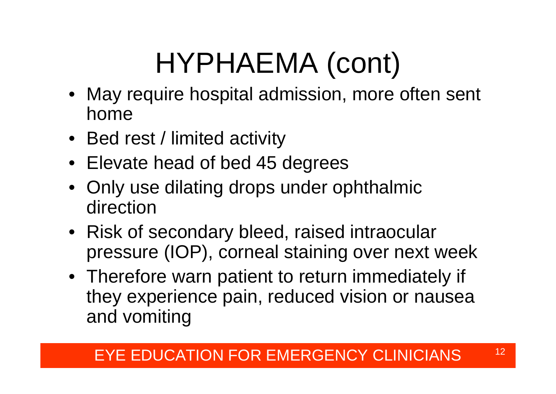## HYPHAEMA (cont)

- May require hospital admission, more often sent home
- Bed rest / limited activity
- Elevate head of bed 45 degrees
- Only use dilating drops under ophthalmic direction
- Risk of secondary bleed, raised intraocular pressure (IOP), corneal staining over next week
- Therefore warn patient to return immediately if they experience pain, reduced vision or nausea and vomiting

### EYE EDUCATION FOR EMERGENCY CLINICIANS  $^{\, \rm 12}$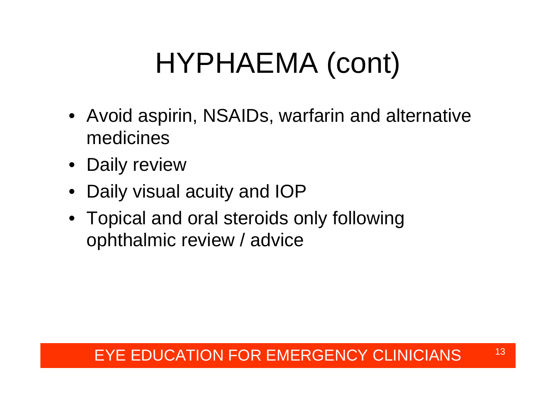# HYPHAEMA (cont)

- Avoid aspirin, NSAIDs, warfarin and alternative medicines
- Daily review
- •Daily visual acuity and IOP
- Topical and oral steroids only following ophthalmic review / advice

#### EYE EDUCATION FOR EMERGENCY CLINICIANS  $^{\rm 13}$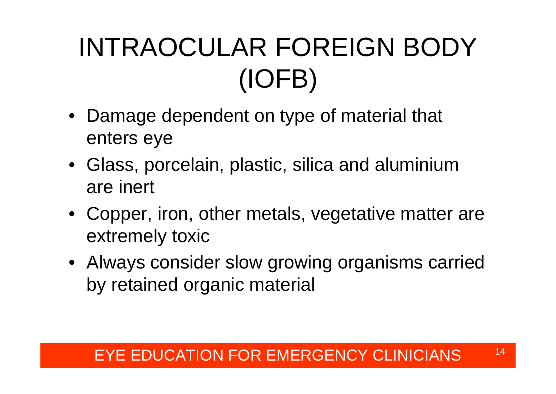### INTRAOCULAR FOREIGN BODY (IOFB)

- Damage dependent on type of material that enters eye
- Glass, porcelain, plastic, silica and aluminium are inert
- Copper, iron, other metals, vegetative matter are extremely toxic
- Always consider slow growing organisms carried by retained organic material

### EYE EDUCATION FOR EMERGENCY CLINICIANS  $^{\rm 14}$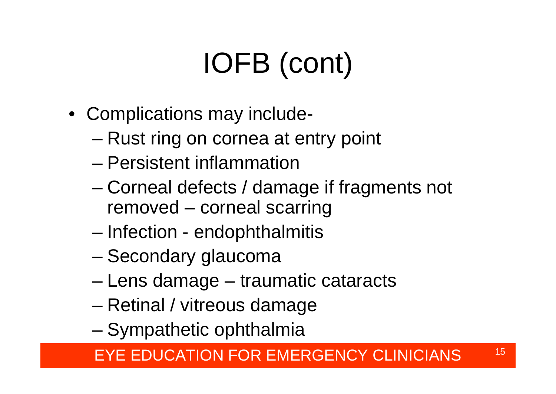# IOFB (cont)

- Complications may include
	- and the state of the state Rust ring on cornea at entry point
	- Persistent inflammation
	- – Corneal defects / damage if fragments not removed – corneal scarring
	- –Infection - endophthalmitis
	- –Secondary glaucoma
	- and the state of the state Lens damage – traumatic cataracts
	- and the state of the state Retinal / vitreous damage
	- –Sympathetic ophthalmia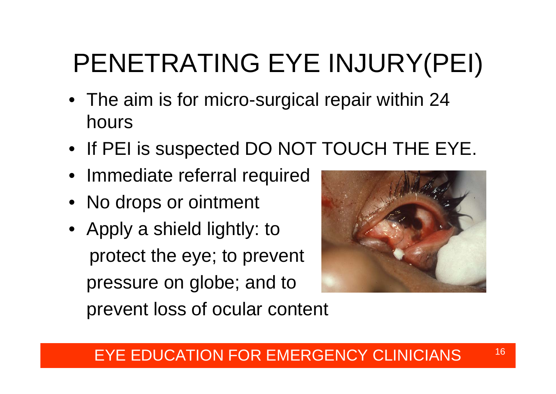### PENETRATING EYE INJURY(PEI)

- The aim is for micro-surgical repair within 24 hours
- If PEI is suspected DO NOT TOUCH THE EYE.
- Immediate referral required
- No drops or ointment
- Apply a shield lightly: to protect the eye; to prevent pressure on globe; and to prevent loss of ocular content

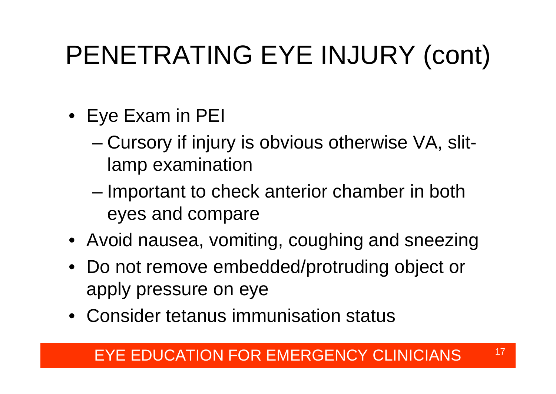### PENETRATING EYE INJURY (cont)

- Eye Exam in PEI
	- and the state of the state Cursory if injury is obvious otherwise VA, slitlamp examination
	- – Important to check anterior chamber in both eyes and compare
- Avoid nausea, vomiting, coughing and sneezing
- Do not remove embedded/protruding object or apply pressure on eye
- Consider tetanus immunisation status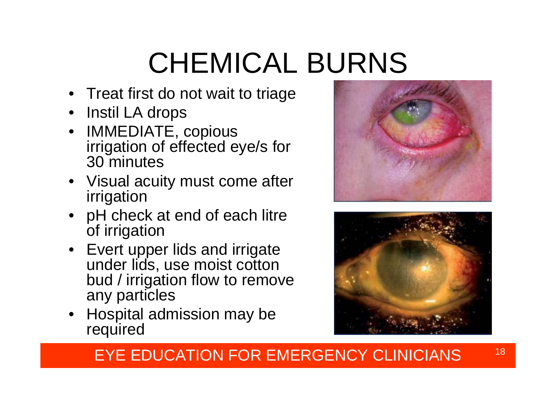# CHEMICAL BURNS

- Treat first do not wait to triage
- •Instil LA drops
- • IMMEDIATE, copious irrigation of effected eye/s for 30 minutes
- Visual acuity must come after irrigation
- pH check at end of each litre of irrigation
- Evert upper lids and irrigate under lids, use moist cotton bud / irrigation flow to remove any particles
- Hospital admission may be required



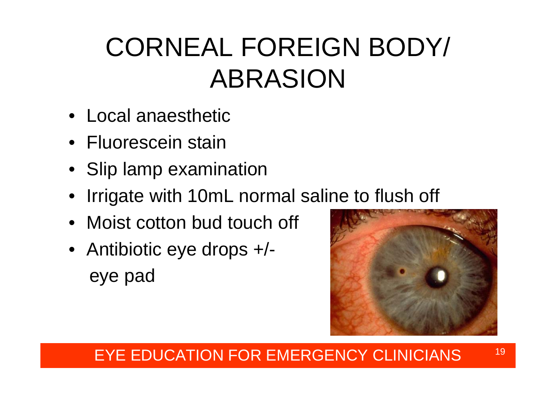### CORNEAL FOREIGN BODY/ ABRASION

- Local anaesthetic
- Fluorescein stain
- Slip lamp examination
- Irrigate with 10mL normal saline to flush off
- Moist cotton bud touch off
- Antibiotic eye drops +/ eye pad



#### EYE EDUCATION FOR EMERGENCY CLINICIANS  $^{\rm 19}$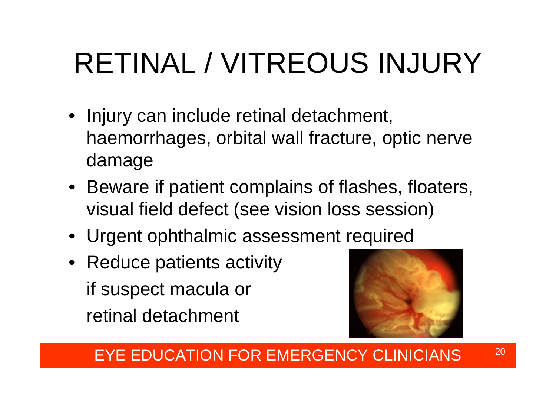# RETINAL / VITREOUS INJURY

- Injury can include retinal detachment, haemorrhages, orbital wall fracture, optic nerve damage
- Beware if patient complains of flashes, floaters, visual field defect (see vision loss session)
- Urgent ophthalmic assessment required
- Reduce patients activity if suspect macula or retinal detachment



### EYE EDUCATION FOR EMERGENCY CLINICIANS  $^{\phantom{200}}$   $^{\phantom{200}}$